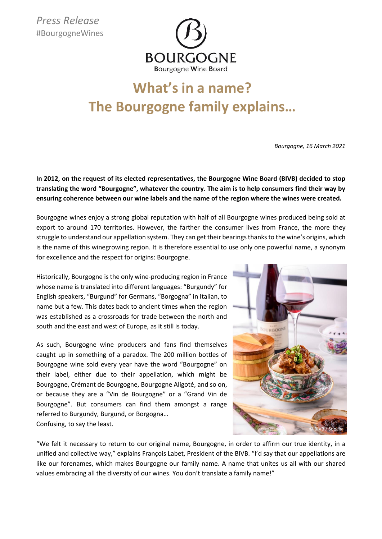

## **What's in a name? The Bourgogne family explains…**

*Bourgogne, 16 March 2021*

**In 2012, on the request of its elected representatives, the Bourgogne Wine Board (BIVB) decided to stop translating the word "Bourgogne", whatever the country. The aim is to help consumers find their way by ensuring coherence between our wine labels and the name of the region where the wines were created.** 

Bourgogne wines enjoy a strong global reputation with half of all Bourgogne wines produced being sold at export to around 170 territories. However, the farther the consumer lives from France, the more they struggle to understand our appellation system. They can get their bearings thanks to the wine's origins, which is the name of this winegrowing region. It is therefore essential to use only one powerful name, a synonym for excellence and the respect for origins: Bourgogne.

Historically, Bourgogne is the only wine-producing region in France whose name is translated into different languages: "Burgundy" for English speakers, "Burgund" for Germans, "Borgogna" in Italian, to name but a few. This dates back to ancient times when the region was established as a crossroads for trade between the north and south and the east and west of Europe, as it still is today.

As such, Bourgogne wine producers and fans find themselves caught up in something of a paradox. The 200 million bottles of Bourgogne wine sold every year have the word "Bourgogne" on their label, either due to their appellation, which might be Bourgogne, Crémant de Bourgogne, Bourgogne Aligoté, and so on, or because they are a "Vin de Bourgogne" or a "Grand Vin de Bourgogne". But consumers can find them amongst a range referred to Burgundy, Burgund, or Borgogna… Confusing, to say the least.



"We felt it necessary to return to our original name, Bourgogne, in order to affirm our true identity, in a unified and collective way," explains François Labet, President of the BIVB. "I'd say that our appellations are like our forenames, which makes Bourgogne our family name. A name that unites us all with our shared values embracing all the diversity of our wines. You don't translate a family name!"